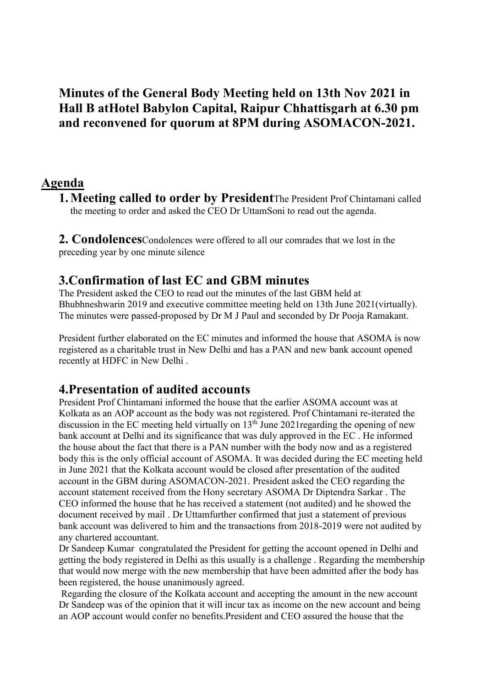Minutes of the General Body Meeting held on 13th Nov 2021 in Hall B atHotel Babylon Capital, Raipur Chhattisgarh at 6.30 pm and reconvened for quorum at 8PM during ASOMACON-2021.

#### Agenda

1.Meeting called to order by PresidentThe President Prof Chintamani called the meeting to order and asked the CEO Dr UttamSoni to read out the agenda.

2. **Condolences** Condolences were offered to all our comrades that we lost in the preceding year by one minute silence

### 3.Confirmation of last EC and GBM minutes

The President asked the CEO to read out the minutes of the last GBM held at Bhubhneshwarin 2019 and executive committee meeting held on 13th June 2021(virtually). The minutes were passed-proposed by Dr M J Paul and seconded by Dr Pooja Ramakant.

President further elaborated on the EC minutes and informed the house that ASOMA is now registered as a charitable trust in New Delhi and has a PAN and new bank account opened recently at HDFC in New Delhi .

#### 4.Presentation of audited accounts

President Prof Chintamani informed the house that the earlier ASOMA account was at Kolkata as an AOP account as the body was not registered. Prof Chintamani re-iterated the discussion in the EC meeting held virtually on 13<sup>th</sup> June 2021 regarding the opening of new bank account at Delhi and its significance that was duly approved in the EC . He informed the house about the fact that there is a PAN number with the body now and as a registered body this is the only official account of ASOMA. It was decided during the EC meeting held in June 2021 that the Kolkata account would be closed after presentation of the audited account in the GBM during ASOMACON-2021. President asked the CEO regarding the account statement received from the Hony secretary ASOMA Dr Diptendra Sarkar . The CEO informed the house that he has received a statement (not audited) and he showed the document received by mail . Dr Uttamfurther confirmed that just a statement of previous bank account was delivered to him and the transactions from 2018-2019 were not audited by any chartered accountant.

Dr Sandeep Kumar congratulated the President for getting the account opened in Delhi and getting the body registered in Delhi as this usually is a challenge . Regarding the membership that would now merge with the new membership that have been admitted after the body has been registered, the house unanimously agreed.

 Regarding the closure of the Kolkata account and accepting the amount in the new account Dr Sandeep was of the opinion that it will incur tax as income on the new account and being an AOP account would confer no benefits.President and CEO assured the house that the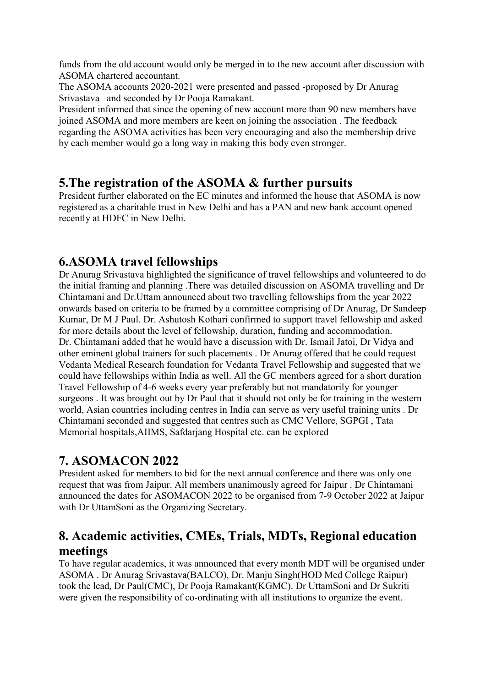funds from the old account would only be merged in to the new account after discussion with ASOMA chartered accountant.

The ASOMA accounts 2020-2021 were presented and passed -proposed by Dr Anurag Srivastava and seconded by Dr Pooja Ramakant.

President informed that since the opening of new account more than 90 new members have joined ASOMA and more members are keen on joining the association . The feedback regarding the ASOMA activities has been very encouraging and also the membership drive by each member would go a long way in making this body even stronger.

### 5.The registration of the ASOMA & further pursuits

President further elaborated on the EC minutes and informed the house that ASOMA is now registered as a charitable trust in New Delhi and has a PAN and new bank account opened recently at HDFC in New Delhi.

## 6.ASOMA travel fellowships

Dr Anurag Srivastava highlighted the significance of travel fellowships and volunteered to do the initial framing and planning .There was detailed discussion on ASOMA travelling and Dr Chintamani and Dr.Uttam announced about two travelling fellowships from the year 2022 onwards based on criteria to be framed by a committee comprising of Dr Anurag, Dr Sandeep Kumar, Dr M J Paul. Dr. Ashutosh Kothari confirmed to support travel fellowship and asked for more details about the level of fellowship, duration, funding and accommodation. Dr. Chintamani added that he would have a discussion with Dr. Ismail Jatoi, Dr Vidya and other eminent global trainers for such placements . Dr Anurag offered that he could request Vedanta Medical Research foundation for Vedanta Travel Fellowship and suggested that we could have fellowships within India as well. All the GC members agreed for a short duration Travel Fellowship of 4-6 weeks every year preferably but not mandatorily for younger surgeons . It was brought out by Dr Paul that it should not only be for training in the western world, Asian countries including centres in India can serve as very useful training units . Dr Chintamani seconded and suggested that centres such as CMC Vellore, SGPGI , Tata Memorial hospitals,AIIMS, Safdarjang Hospital etc. can be explored

# 7. ASOMACON 2022

President asked for members to bid for the next annual conference and there was only one request that was from Jaipur. All members unanimously agreed for Jaipur . Dr Chintamani announced the dates for ASOMACON 2022 to be organised from 7-9 October 2022 at Jaipur with Dr UttamSoni as the Organizing Secretary.

# 8. Academic activities, CMEs, Trials, MDTs, Regional education meetings

To have regular academics, it was announced that every month MDT will be organised under ASOMA . Dr Anurag Srivastava(BALCO), Dr. Manju Singh(HOD Med College Raipur) took the lead, Dr Paul(CMC), Dr Pooja Ramakant(KGMC). Dr UttamSoni and Dr Sukriti were given the responsibility of co-ordinating with all institutions to organize the event.